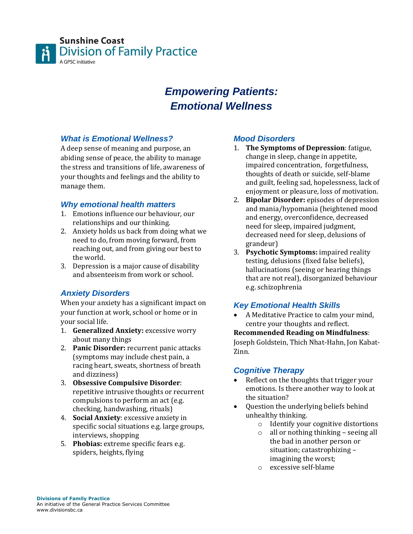

# *Empowering Patients: Emotional Wellness*

# *What is Emotional Wellness?*

A deep sense of meaning and purpose, an abiding sense of peace, the ability to manage the stress and transitions of life, awareness of your thoughts and feelings and the ability to manage them.

### *Why emotional health matters*

- 1. Emotions influence our behaviour, our relationships and our thinking.
- 2. Anxiety holds us back from doing what we need to do, from moving forward, from reaching out, and from giving our best to the world.
- 3. Depression is a major cause of disability and absenteeism from work or school.

# *Anxiety Disorders*

When your anxiety has a significant impact on your function at work, school or home or in your social life.

- 1. **Generalized Anxiety:** excessive worry about many things
- 2. **Panic Disorder:** recurrent panic attacks (symptoms may include chest pain, a racing heart, sweats, shortness of breath and dizziness)
- 3. **Obsessive Compulsive Disorder**: repetitive intrusive thoughts or recurrent compulsions to perform an act (e.g. checking, handwashing, rituals)
- 4. **Social Anxiety**: excessive anxiety in specific social situations e.g. large groups, interviews, shopping
- 5. **Phobias:** extreme specific fears e.g. spiders, heights, flying

### *Mood Disorders*

- 1. **The Symptoms of Depression**: fatigue, change in sleep, change in appetite, impaired concentration, forgetfulness, thoughts of death or suicide, self-blame and guilt, feeling sad, hopelessness, lack of enjoyment or pleasure, loss of motivation.
- 2. **Bipolar Disorder:** episodes of depression and mania/hypomania (heightened mood and energy, overconfidence, decreased need for sleep, impaired judgment, decreased need for sleep, delusions of grandeur)
- 3. **Psychotic Symptoms:** impaired reality testing, delusions (fixed false beliefs), hallucinations (seeing or hearing things that are not real), disorganized behaviour e.g. schizophrenia

# *Key Emotional Health Skills*

 A Meditative Practice to calm your mind, centre your thoughts and reflect.

#### **Recommended Reading on Mindfulness**:

Joseph Goldstein, Thich Nhat-Hahn, Jon Kabat-Zinn.

# *Cognitive Therapy*

- Reflect on the thoughts that trigger your emotions. Is there another way to look at the situation?
- Question the underlying beliefs behind unhealthy thinking.
	- o Identify your cognitive distortions
	- o all or nothing thinking seeing all the bad in another person or situation; catastrophizing – imagining the worst;
	- o excessive self-blame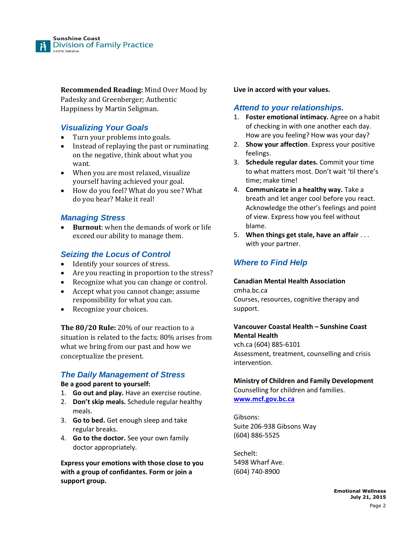

**Recommended Reading:** Mind Over Mood by Padesky and Greenberger; Authentic Happiness by Martin Seligman.

# *Visualizing Your Goals*

- Turn your problems into goals.
- Instead of replaying the past or ruminating on the negative, think about what you want.
- When you are most relaxed, visualize yourself having achieved your goal.
- How do you feel? What do you see? What do you hear? Make it real!

# *Managing Stress*

 **Burnout**: when the demands of work or life exceed our ability to manage them.

# *Seizing the Locus of Control*

- Identify your sources of stress.
- Are you reacting in proportion to the stress?
- Recognize what you can change or control.
- Accept what you cannot change; assume responsibility for what you can.
- Recognize your choices.

**The 80/20 Rule:** 20% of our reaction to a situation is related to the facts; 80% arises from what we bring from our past and how we conceptualize the present.

# *The Daily Management of Stress*

#### **Be a good parent to yourself:**

- 1. **Go out and play.** Have an exercise routine.
- 2. **Don't skip meals.** Schedule regular healthy meals.
- 3. **Go to bed.** Get enough sleep and take regular breaks.
- 4. **Go to the doctor.** See your own family doctor appropriately.

**Express your emotions with those close to you with a group of confidantes. Form or join a support group.**

**Live in accord with your values.**

### *Attend to your relationships.*

- 1. **Foster emotional intimacy.** Agree on a habit of checking in with one another each day. How are you feeling? How was your day?
- 2. **Show your affection**. Express your positive feelings.
- 3. **Schedule regular dates.** Commit your time to what matters most. Don't wait 'til there's time; make time!
- 4. **Communicate in a healthy way.** Take a breath and let anger cool before you react. Acknowledge the other's feelings and point of view. Express how you feel without blame.
- 5. **When things get stale, have an affair** . . . with your partner.

# *Where to Find Help*

#### **Canadian Mental Health Association**  cmha.bc.ca Courses, resources, cognitive therapy and support.

#### **Vancouver Coastal Health – Sunshine Coast Mental Health**

vch.ca (604) 885-6101 Assessment, treatment, counselling and crisis intervention.

# **Ministry of Children and Family Development**

Counselling for children and families. **[www.mcf.gov.bc.ca](http://www.mcf.gov.bc.ca/)**

Gibsons: Suite 206-938 Gibsons Way (604) 886-5525

Sechelt: 5498 Wharf Ave. (604) 740-8900